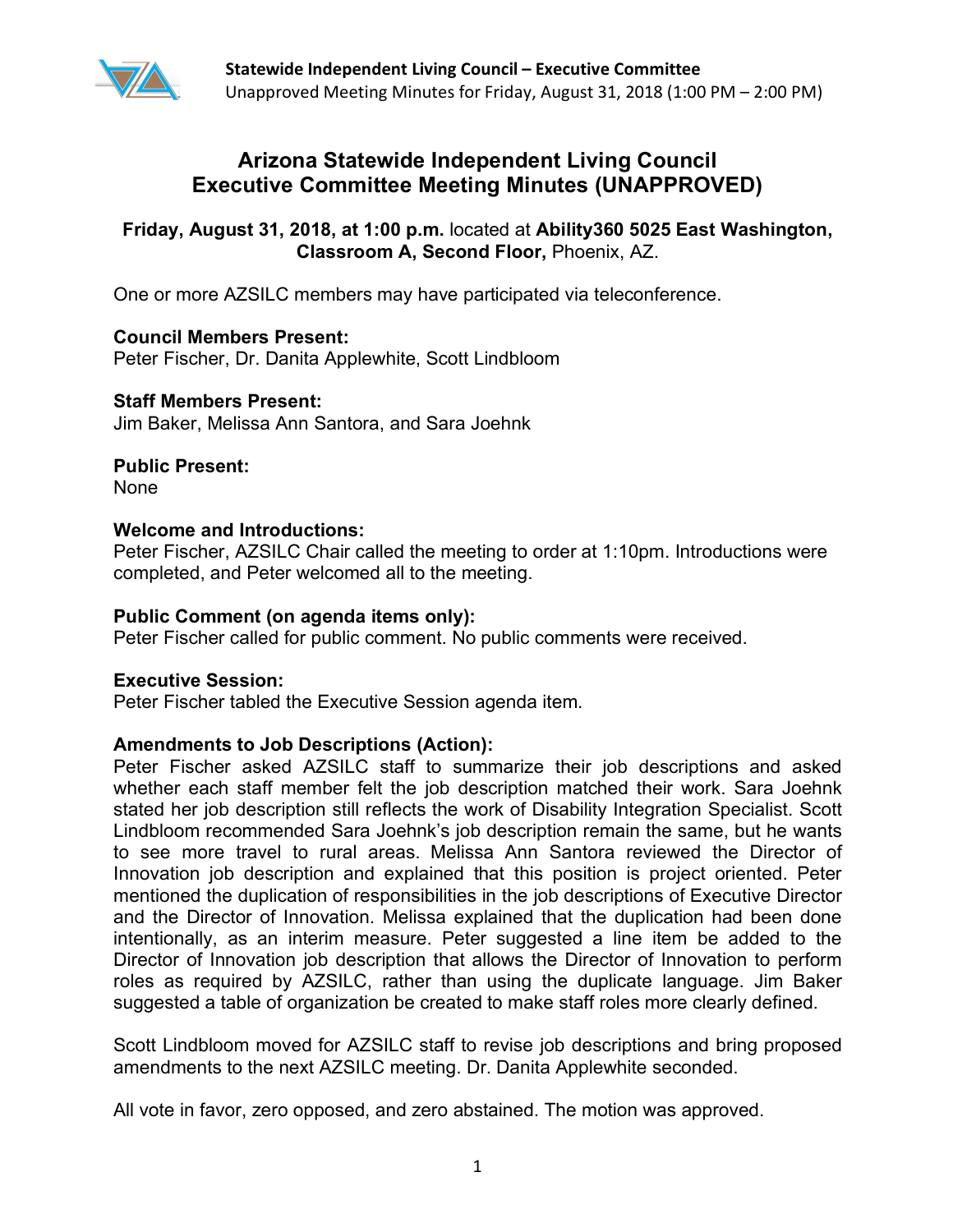

# **Arizona Statewide Independent Living Council Executive Committee Meeting Minutes (UNAPPROVED)**

## **Friday, August 31, 2018, at 1:00 p.m.** located at **Ability360 5025 East Washington, Classroom A, Second Floor,** Phoenix, AZ.

One or more AZSILC members may have participated via teleconference.

#### **Council Members Present:**  Peter Fischer, Dr. Danita Applewhite, Scott Lindbloom

## **Staff Members Present:**

Jim Baker, Melissa Ann Santora, and Sara Joehnk

# **Public Present:**

None

## **Welcome and Introductions:**

Peter Fischer, AZSILC Chair called the meeting to order at 1:10pm. Introductions were completed, and Peter welcomed all to the meeting.

### **Public Comment (on agenda items only):**

Peter Fischer called for public comment. No public comments were received.

## **Executive Session:**

Peter Fischer tabled the Executive Session agenda item.

## **Amendments to Job Descriptions (Action):**

Peter Fischer asked AZSILC staff to summarize their job descriptions and asked whether each staff member felt the job description matched their work. Sara Joehnk stated her job description still reflects the work of Disability Integration Specialist. Scott Lindbloom recommended Sara Joehnk's job description remain the same, but he wants to see more travel to rural areas. Melissa Ann Santora reviewed the Director of Innovation job description and explained that this position is project oriented. Peter mentioned the duplication of responsibilities in the job descriptions of Executive Director and the Director of Innovation. Melissa explained that the duplication had been done intentionally, as an interim measure. Peter suggested a line item be added to the Director of Innovation job description that allows the Director of Innovation to perform roles as required by AZSILC, rather than using the duplicate language. Jim Baker suggested a table of organization be created to make staff roles more clearly defined.

Scott Lindbloom moved for AZSILC staff to revise job descriptions and bring proposed amendments to the next AZSILC meeting. Dr. Danita Applewhite seconded.

All vote in favor, zero opposed, and zero abstained. The motion was approved.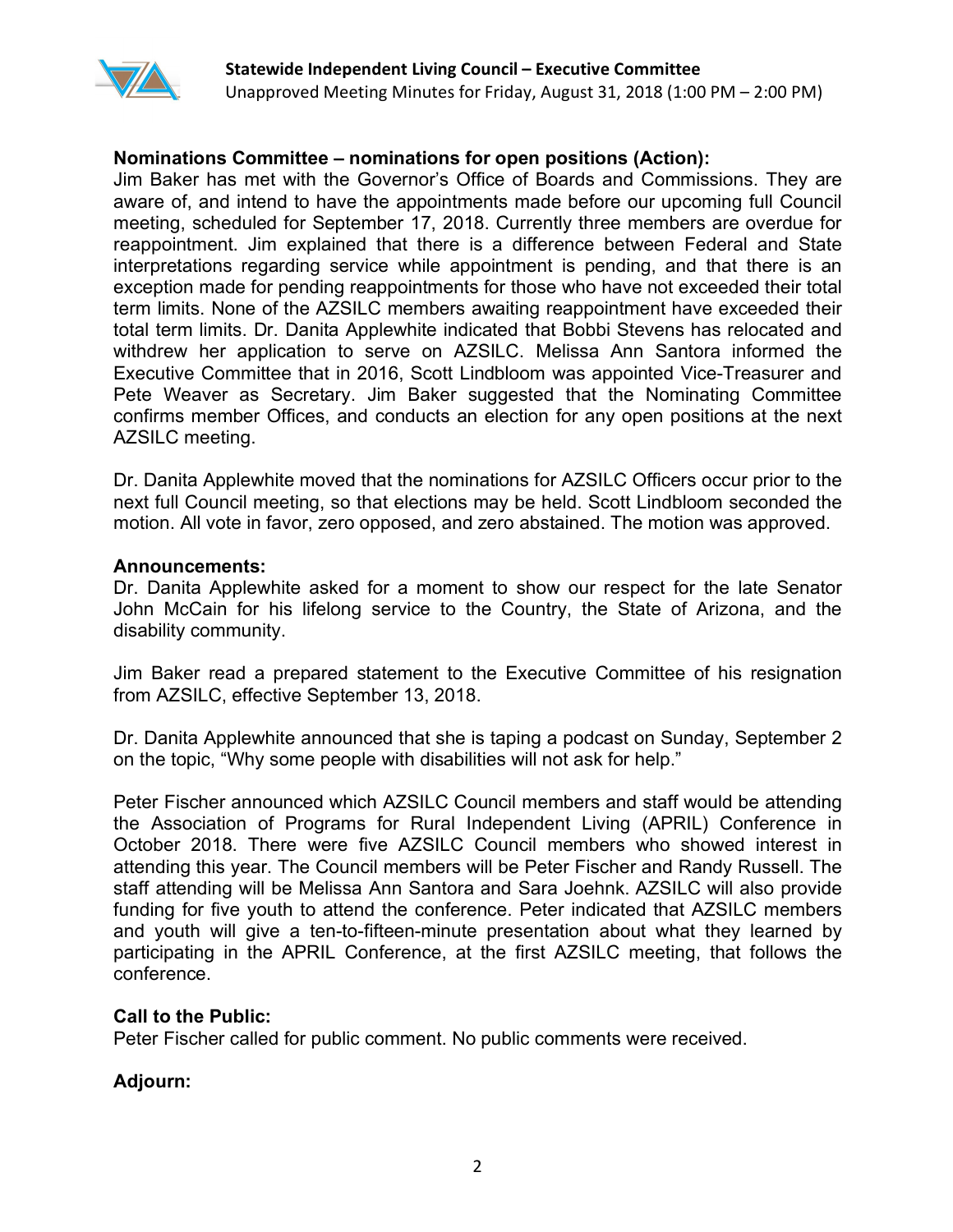

### **Nominations Committee – nominations for open positions (Action):**

Jim Baker has met with the Governor's Office of Boards and Commissions. They are aware of, and intend to have the appointments made before our upcoming full Council meeting, scheduled for September 17, 2018. Currently three members are overdue for reappointment. Jim explained that there is a difference between Federal and State interpretations regarding service while appointment is pending, and that there is an exception made for pending reappointments for those who have not exceeded their total term limits. None of the AZSILC members awaiting reappointment have exceeded their total term limits. Dr. Danita Applewhite indicated that Bobbi Stevens has relocated and withdrew her application to serve on AZSILC. Melissa Ann Santora informed the Executive Committee that in 2016, Scott Lindbloom was appointed Vice-Treasurer and Pete Weaver as Secretary. Jim Baker suggested that the Nominating Committee confirms member Offices, and conducts an election for any open positions at the next AZSILC meeting.

Dr. Danita Applewhite moved that the nominations for AZSILC Officers occur prior to the next full Council meeting, so that elections may be held. Scott Lindbloom seconded the motion. All vote in favor, zero opposed, and zero abstained. The motion was approved.

#### **Announcements:**

Dr. Danita Applewhite asked for a moment to show our respect for the late Senator John McCain for his lifelong service to the Country, the State of Arizona, and the disability community.

Jim Baker read a prepared statement to the Executive Committee of his resignation from AZSILC, effective September 13, 2018.

Dr. Danita Applewhite announced that she is taping a podcast on Sunday, September 2 on the topic, "Why some people with disabilities will not ask for help."

Peter Fischer announced which AZSILC Council members and staff would be attending the Association of Programs for Rural Independent Living (APRIL) Conference in October 2018. There were five AZSILC Council members who showed interest in attending this year. The Council members will be Peter Fischer and Randy Russell. The staff attending will be Melissa Ann Santora and Sara Joehnk. AZSILC will also provide funding for five youth to attend the conference. Peter indicated that AZSILC members and youth will give a ten-to-fifteen-minute presentation about what they learned by participating in the APRIL Conference, at the first AZSILC meeting, that follows the conference.

#### **Call to the Public:**

Peter Fischer called for public comment. No public comments were received.

#### **Adjourn:**